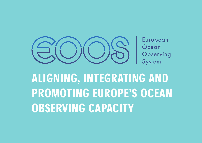

European Ocean Observing System

**ALIGNING, INTEGRATING AND PROMOTING EUROPE'S OCEAN OBSERVING CAPACITY**